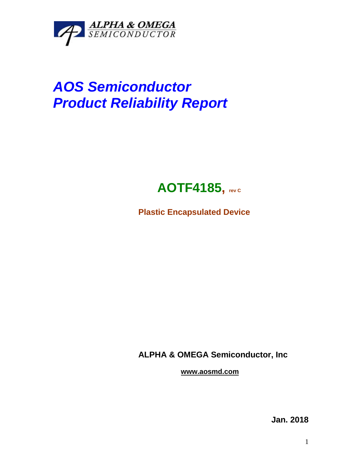

## *AOS Semiconductor Product Reliability Report*



**Plastic Encapsulated Device**

**ALPHA & OMEGA Semiconductor, Inc**

**www.aosmd.com**

**Jan. 2018**